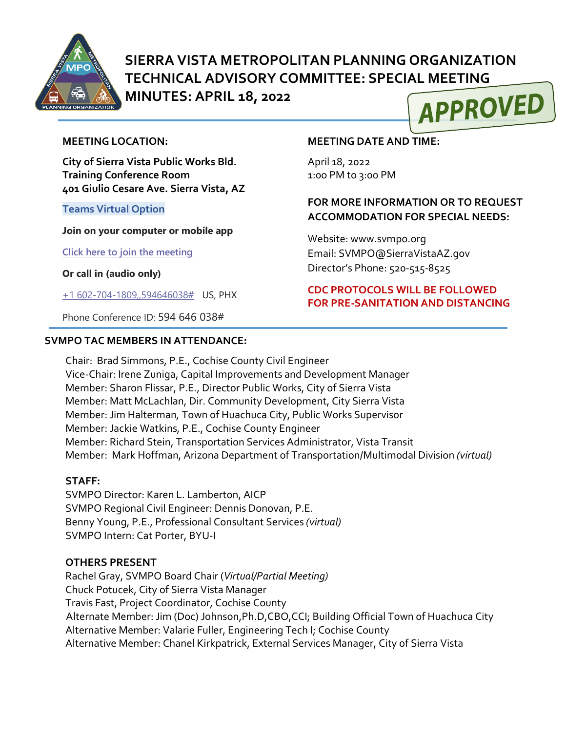

# **SIERRA VISTA METROPOLITAN PLANNING ORGANIZATION TECHNICAL ADVISORY COMMITTEE: SPECIAL MEETING**

**MINUTES: APRIL 18, 2022** 



#### **MEETING LOCATION:**

**City of Sierra Vista Public Works Bld. Training Conference Room 401 Giulio Cesare Ave. Sierra Vista, AZ**

#### **Teams Virtual Option**

**Join on your computer or mobile app**

**[Click here to join the meeting](https://teams.microsoft.com/l/meetup-join/19%3ameeting_NDQzZjc3ZWQtYjRjNS00OTZkLWJkOGQtZjM4OTdkYzIwN2Fm%40thread.v2/0?context=%7b%22Tid%22%3a%2236676c86-4a76-422a-8d4e-223152386488%22%2c%22Oid%22%3a%22956098f9-794b-4934-9a34-9a99f53bf1f3%22%7d)**

**Or call in (audio only)**

[+1 602-704-1809,,594646038#](tel:+16027041809,,594646038#%20) US, PHX

Phone Conference ID: 594 646 038#

#### **SVMPO TAC MEMBERS IN ATTENDANCE:**

#### **MEETING DATE AND TIME:**

April 18, 2022 1:0o PM to 3:00 PM

## **FOR MORE INFORMATION OR TO REQUEST ACCOMMODATION FOR SPECIAL NEEDS:**

Website: www.svmpo.org Email: SVMPO@SierraVistaAZ.gov Director's Phone: 520-515-8525

### **CDC PROTOCOLS WILL BE FOLLOWED FOR PRE-SANITATION AND DISTANCING**

Chair: Brad Simmons, P.E., Cochise County Civil Engineer Vice-Chair: Irene Zuniga, Capital Improvements and Development Manager Member: Sharon Flissar, P.E., Director Public Works, City of Sierra Vista Member: Matt McLachlan, Dir. Community Development, City Sierra Vista Member: Jim Halterman*,* Town of Huachuca City, Public Works Supervisor Member: Jackie Watkins, P.E., Cochise County Engineer Member: Richard Stein, Transportation Services Administrator, Vista Transit Member: Mark Hoffman, Arizona Department of Transportation/Multimodal Division *(virtual)*

## **STAFF:**

SVMPO Director: Karen L. Lamberton, AICP SVMPO Regional Civil Engineer: Dennis Donovan, P.E. Benny Young, P.E., Professional Consultant Services *(virtual)* SVMPO Intern: Cat Porter, BYU-I

#### **OTHERS PRESENT**

Rachel Gray, SVMPO Board Chair (*Virtual/Partial Meeting)* Chuck Potucek, City of Sierra Vista Manager Travis Fast, Project Coordinator, Cochise County Alternate Member: Jim (Doc) Johnson,Ph.D,CBO,CCI; Building Official Town of Huachuca City Alternative Member: Valarie Fuller, Engineering Tech I; Cochise County Alternative Member: Chanel Kirkpatrick, External Services Manager, City of Sierra Vista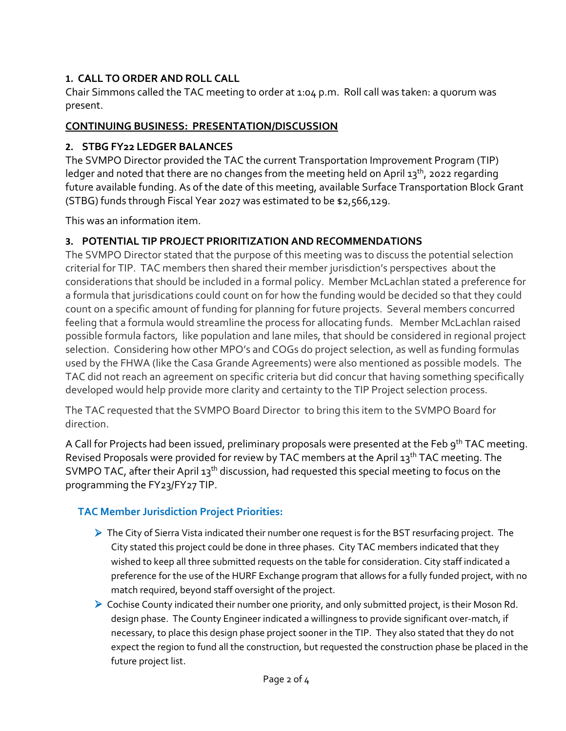# **1. CALL TO ORDER AND ROLL CALL**

Chair Simmons called the TAC meeting to order at 1:04 p.m. Roll call was taken: a quorum was present.

# **CONTINUING BUSINESS: PRESENTATION/DISCUSSION**

# **2. STBG FY22 LEDGER BALANCES**

The SVMPO Director provided the TAC the current Transportation Improvement Program (TIP) ledger and noted that there are no changes from the meeting held on April 13<sup>th</sup>, 2022 regarding future available funding. As of the date of this meeting, available Surface Transportation Block Grant (STBG) funds through Fiscal Year 2027 was estimated to be \$2,566,129.

This was an information item.

# **3. POTENTIAL TIP PROJECT PRIORITIZATION AND RECOMMENDATIONS**

The SVMPO Director stated that the purpose of this meeting was to discuss the potential selection criterial for TIP. TAC members then shared their member jurisdiction's perspectives about the considerations that should be included in a formal policy. Member McLachlan stated a preference for a formula that jurisdications could count on for how the funding would be decided so that they could count on a specific amount of funding for planning for future projects. Several members concurred feeling that a formula would streamline the process for allocating funds. Member McLachlan raised possible formula factors, like population and lane miles, that should be considered in regional project selection. Considering how other MPO's and COGs do project selection, as well as funding formulas used by the FHWA (like the Casa Grande Agreements) were also mentioned as possible models. The TAC did not reach an agreement on specific criteria but did concur that having something specifically developed would help provide more clarity and certainty to the TIP Project selection process.

The TAC requested that the SVMPO Board Director to bring this item to the SVMPO Board for direction.

A Call for Projects had been issued, preliminary proposals were presented at the Feb 9<sup>th</sup> TAC meeting. Revised Proposals were provided for review by TAC members at the April 13<sup>th</sup> TAC meeting. The SVMPO TAC, after their April 13<sup>th</sup> discussion, had requested this special meeting to focus on the programming the FY23/FY27 TIP.

# **TAC Member Jurisdiction Project Priorities:**

- $\triangleright$  The City of Sierra Vista indicated their number one request is for the BST resurfacing project. The City stated this project could be done in three phases. City TAC members indicated that they wished to keep all three submitted requests on the table for consideration. City staff indicated a preference for the use of the HURF Exchange program that allows for a fully funded project, with no match required, beyond staff oversight of the project.
- ▶ Cochise County indicated their number one priority, and only submitted project, is their Moson Rd. design phase. The County Engineer indicated a willingness to provide significant over-match, if necessary, to place this design phase project sooner in the TIP. They also stated that they do not expect the region to fund all the construction, but requested the construction phase be placed in the future project list.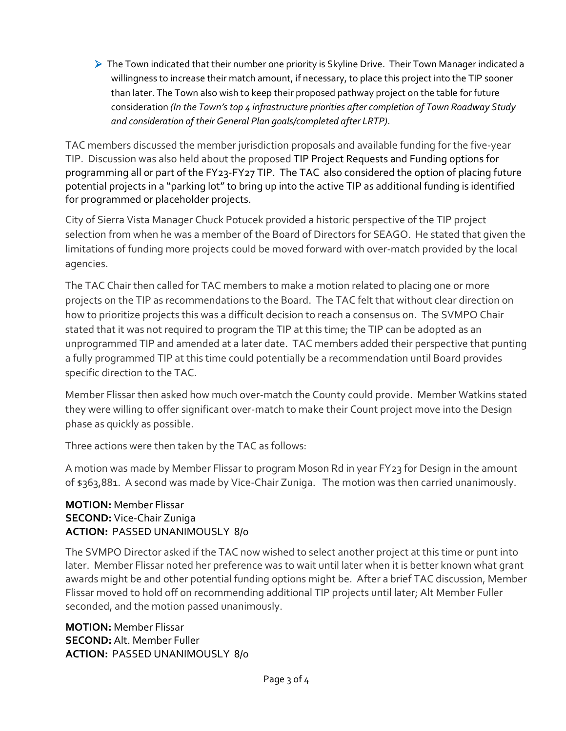$\triangleright$  The Town indicated that their number one priority is Skyline Drive. Their Town Manager indicated a willingness to increase their match amount, if necessary, to place this project into the TIP sooner than later. The Town also wish to keep their proposed pathway project on the table for future consideration *(In the Town's top 4 infrastructure priorities after completion of Town Roadway Study and consideration of their General Plan goals/completed after LRTP)*.

TAC members discussed the member jurisdiction proposals and available funding for the five-year TIP. Discussion was also held about the proposed TIP Project Requests and Funding options for programming all or part of the FY23-FY27 TIP. The TAC also considered the option of placing future potential projects in a "parking lot" to bring up into the active TIP as additional funding is identified for programmed or placeholder projects.

City of Sierra Vista Manager Chuck Potucek provided a historic perspective of the TIP project selection from when he was a member of the Board of Directors for SEAGO. He stated that given the limitations of funding more projects could be moved forward with over-match provided by the local agencies.

The TAC Chair then called for TAC members to make a motion related to placing one or more projects on the TIP as recommendations to the Board. The TAC felt that without clear direction on how to prioritize projects this was a difficult decision to reach a consensus on. The SVMPO Chair stated that it was not required to program the TIP at this time; the TIP can be adopted as an unprogrammed TIP and amended at a later date. TAC members added their perspective that punting a fully programmed TIP at this time could potentially be a recommendation until Board provides specific direction to the TAC.

Member Flissar then asked how much over-match the County could provide. Member Watkins stated they were willing to offer significant over-match to make their Count project move into the Design phase as quickly as possible.

Three actions were then taken by the TAC as follows:

A motion was made by Member Flissar to program Moson Rd in year FY23 for Design in the amount of \$363,881. A second was made by Vice-Chair Zuniga. The motion was then carried unanimously.

## **MOTION:** Member Flissar **SECOND:** Vice-Chair Zuniga **ACTION:** PASSED UNANIMOUSLY 8/0

The SVMPO Director asked if the TAC now wished to select another project at this time or punt into later. Member Flissar noted her preference was to wait until later when it is better known what grant awards might be and other potential funding options might be. After a brief TAC discussion, Member Flissar moved to hold off on recommending additional TIP projects until later; Alt Member Fuller seconded, and the motion passed unanimously.

**MOTION:** Member Flissar **SECOND:** Alt. Member Fuller **ACTION:** PASSED UNANIMOUSLY 8/0